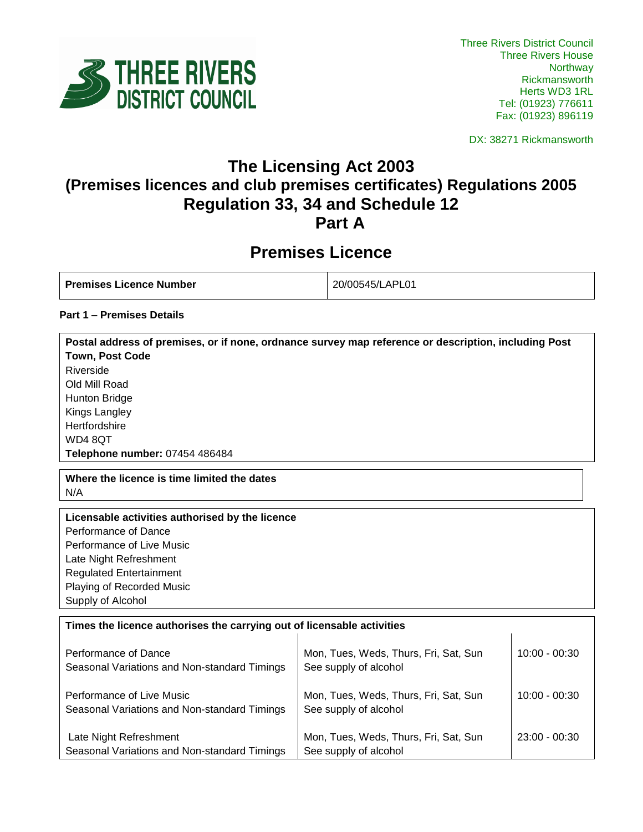

DX: 38271 Rickmansworth

## **The Licensing Act 2003 (Premises licences and club premises certificates) Regulations 2005 Regulation 33, 34 and Schedule 12 Part A**

# **Premises Licence**

| <b>Premises Licence Number</b> | 20/00545/LAPL01 |
|--------------------------------|-----------------|
|                                |                 |

**Postal address of premises, or if none, ordnance survey map reference or description, including Post** 

## **Part 1 – Premises Details**

| <b>Town, Post Code</b>                                                 |                                       |                 |
|------------------------------------------------------------------------|---------------------------------------|-----------------|
| Riverside                                                              |                                       |                 |
| Old Mill Road                                                          |                                       |                 |
| Hunton Bridge                                                          |                                       |                 |
| Kings Langley                                                          |                                       |                 |
| Hertfordshire                                                          |                                       |                 |
| WD48QT                                                                 |                                       |                 |
| Telephone number: 07454 486484                                         |                                       |                 |
| Where the licence is time limited the dates                            |                                       |                 |
| N/A                                                                    |                                       |                 |
| Licensable activities authorised by the licence                        |                                       |                 |
| Performance of Dance                                                   |                                       |                 |
| Performance of Live Music                                              |                                       |                 |
| Late Night Refreshment                                                 |                                       |                 |
| <b>Regulated Entertainment</b>                                         |                                       |                 |
| Playing of Recorded Music                                              |                                       |                 |
| Supply of Alcohol                                                      |                                       |                 |
| Times the licence authorises the carrying out of licensable activities |                                       |                 |
|                                                                        |                                       |                 |
| Performance of Dance                                                   | Mon, Tues, Weds, Thurs, Fri, Sat, Sun | $10:00 - 00:30$ |
| Seasonal Variations and Non-standard Timings                           | See supply of alcohol                 |                 |
|                                                                        |                                       |                 |
| Performance of Live Music                                              | Mon, Tues, Weds, Thurs, Fri, Sat, Sun | $10:00 - 00:30$ |
| Seasonal Variations and Non-standard Timings                           | See supply of alcohol                 |                 |
|                                                                        |                                       |                 |
| Late Night Refreshment                                                 | Mon, Tues, Weds, Thurs, Fri, Sat, Sun | 23:00 - 00:30   |
| Seasonal Variations and Non-standard Timings                           | See supply of alcohol                 |                 |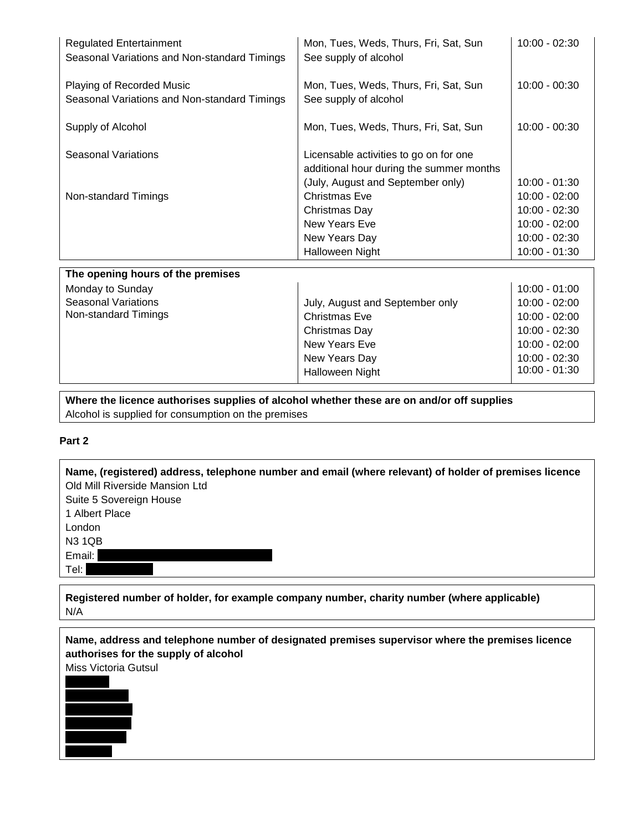| <b>Regulated Entertainment</b><br>Seasonal Variations and Non-standard Timings | Mon, Tues, Weds, Thurs, Fri, Sat, Sun<br>See supply of alcohol                                                          | $10:00 - 02:30$                                                                       |
|--------------------------------------------------------------------------------|-------------------------------------------------------------------------------------------------------------------------|---------------------------------------------------------------------------------------|
| Playing of Recorded Music<br>Seasonal Variations and Non-standard Timings      | Mon, Tues, Weds, Thurs, Fri, Sat, Sun<br>See supply of alcohol                                                          | $10:00 - 00:30$                                                                       |
| Supply of Alcohol                                                              | Mon, Tues, Weds, Thurs, Fri, Sat, Sun                                                                                   | $10:00 - 00:30$                                                                       |
| Seasonal Variations                                                            | Licensable activities to go on for one<br>additional hour during the summer months<br>(July, August and September only) | $10:00 - 01:30$                                                                       |
| Non-standard Timings                                                           | <b>Christmas Eve</b><br>Christmas Day<br>New Years Eve<br>New Years Day<br><b>Halloween Night</b>                       | $10:00 - 02:00$<br>10:00 - 02:30<br>10:00 - 02:00<br>10:00 - 02:30<br>$10:00 - 01:30$ |

| The opening hours of the premises |                                 |                 |
|-----------------------------------|---------------------------------|-----------------|
| Monday to Sunday                  |                                 | 10:00 - 01:00   |
| <b>Seasonal Variations</b>        | July, August and September only | $10:00 - 02:00$ |
| Non-standard Timings              | <b>Christmas Eve</b>            | $10:00 - 02:00$ |
|                                   | Christmas Day                   | $10:00 - 02:30$ |
|                                   | New Years Eve                   | $10:00 - 02:00$ |
|                                   | New Years Day                   | $10:00 - 02:30$ |
|                                   | <b>Halloween Night</b>          | $10:00 - 01:30$ |
|                                   |                                 |                 |

**Where the licence authorises supplies of alcohol whether these are on and/or off supplies** Alcohol is supplied for consumption on the premises

### **Part 2**

**Name, (registered) address, telephone number and email (where relevant) of holder of premises licence** Old Mill Riverside Mansion Ltd Suite 5 Sovereign House 1 Albert Place London N3 1QB Email: Tel:

**Registered number of holder, for example company number, charity number (where applicable)** N/A

**Name, address and telephone number of designated premises supervisor where the premises licence authorises for the supply of alcohol** Miss Victoria Gutsul

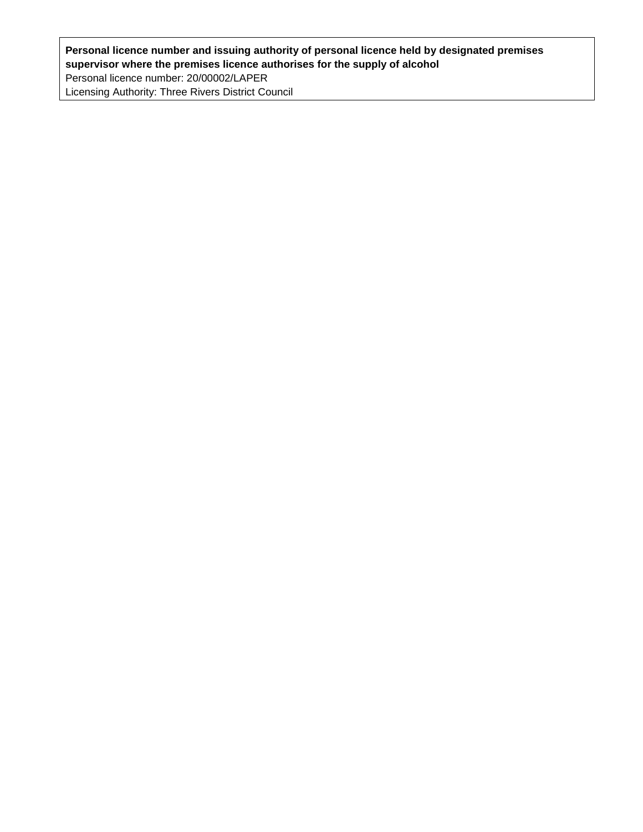## **Personal licence number and issuing authority of personal licence held by designated premises supervisor where the premises licence authorises for the supply of alcohol** Personal licence number: 20/00002/LAPER Licensing Authority: Three Rivers District Council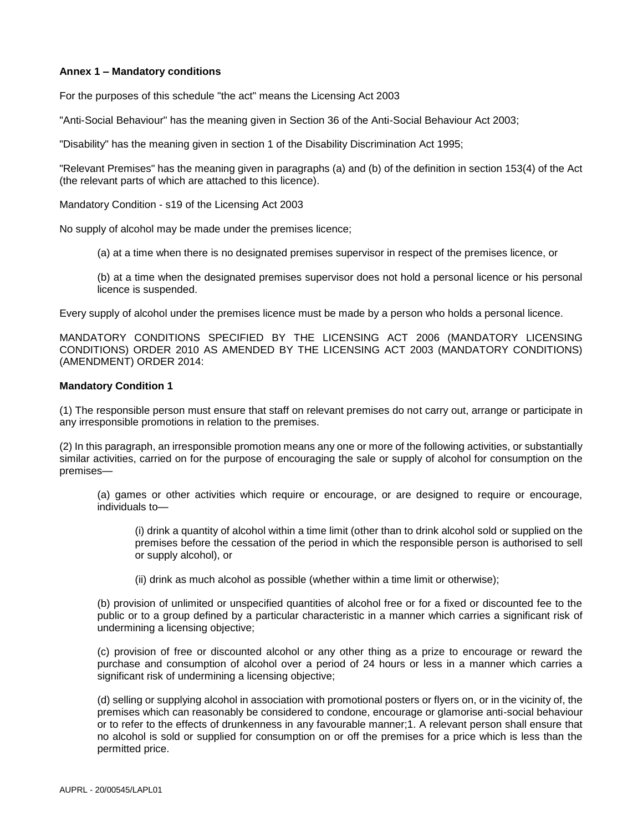#### **Annex 1 – Mandatory conditions**

For the purposes of this schedule "the act" means the Licensing Act 2003

"Anti-Social Behaviour" has the meaning given in Section 36 of the Anti-Social Behaviour Act 2003;

"Disability" has the meaning given in section 1 of the Disability Discrimination Act 1995;

"Relevant Premises" has the meaning given in paragraphs (a) and (b) of the definition in section 153(4) of the Act (the relevant parts of which are attached to this licence).

Mandatory Condition - s19 of the Licensing Act 2003

No supply of alcohol may be made under the premises licence;

(a) at a time when there is no designated premises supervisor in respect of the premises licence, or

(b) at a time when the designated premises supervisor does not hold a personal licence or his personal licence is suspended.

Every supply of alcohol under the premises licence must be made by a person who holds a personal licence.

MANDATORY CONDITIONS SPECIFIED BY THE LICENSING ACT 2006 (MANDATORY LICENSING CONDITIONS) ORDER 2010 AS AMENDED BY THE LICENSING ACT 2003 (MANDATORY CONDITIONS) (AMENDMENT) ORDER 2014:

#### **Mandatory Condition 1**

(1) The responsible person must ensure that staff on relevant premises do not carry out, arrange or participate in any irresponsible promotions in relation to the premises.

(2) In this paragraph, an irresponsible promotion means any one or more of the following activities, or substantially similar activities, carried on for the purpose of encouraging the sale or supply of alcohol for consumption on the premises—

(a) games or other activities which require or encourage, or are designed to require or encourage, individuals to—

(i) drink a quantity of alcohol within a time limit (other than to drink alcohol sold or supplied on the premises before the cessation of the period in which the responsible person is authorised to sell or supply alcohol), or

(ii) drink as much alcohol as possible (whether within a time limit or otherwise);

(b) provision of unlimited or unspecified quantities of alcohol free or for a fixed or discounted fee to the public or to a group defined by a particular characteristic in a manner which carries a significant risk of undermining a licensing objective;

(c) provision of free or discounted alcohol or any other thing as a prize to encourage or reward the purchase and consumption of alcohol over a period of 24 hours or less in a manner which carries a significant risk of undermining a licensing objective;

(d) selling or supplying alcohol in association with promotional posters or flyers on, or in the vicinity of, the premises which can reasonably be considered to condone, encourage or glamorise anti-social behaviour or to refer to the effects of drunkenness in any favourable manner;1. A relevant person shall ensure that no alcohol is sold or supplied for consumption on or off the premises for a price which is less than the permitted price.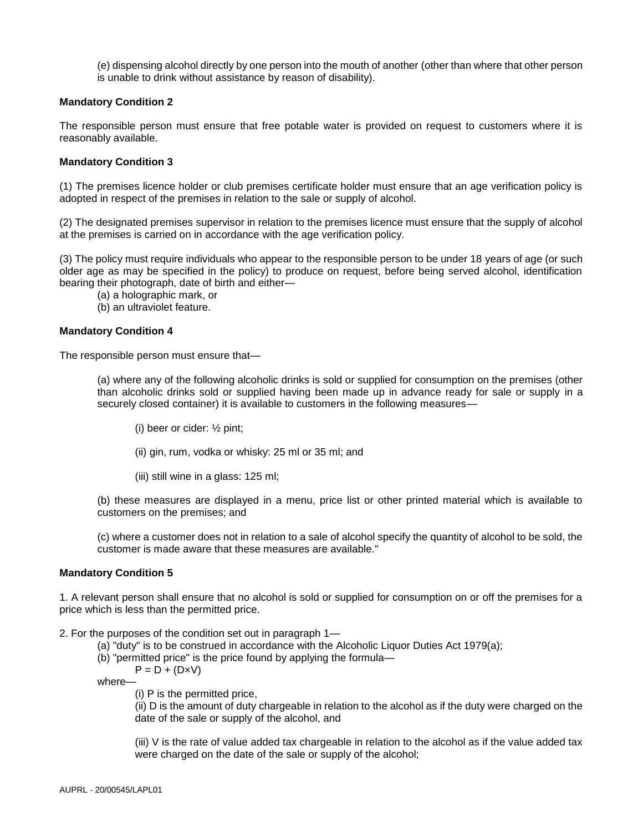(e) dispensing alcohol directly by one person into the mouth of another (other than where that other person is unable to drink without assistance by reason of disability).

#### **Mandatory Condition 2**

The responsible person must ensure that free potable water is provided on request to customers where it is reasonably available.

#### **Mandatory Condition 3**

(1) The premises licence holder or club premises certificate holder must ensure that an age verification policy is adopted in respect of the premises in relation to the sale or supply of alcohol.

(2) The designated premises supervisor in relation to the premises licence must ensure that the supply of alcohol at the premises is carried on in accordance with the age verification policy.

(3) The policy must require individuals who appear to the responsible person to be under 18 years of age (or such older age as may be specified in the policy) to produce on request, before being served alcohol, identification bearing their photograph, date of birth and either—

(a) a holographic mark, or

(b) an ultraviolet feature.

#### **Mandatory Condition 4**

The responsible person must ensure that—

(a) where any of the following alcoholic drinks is sold or supplied for consumption on the premises (other than alcoholic drinks sold or supplied having been made up in advance ready for sale or supply in a securely closed container) it is available to customers in the following measures—

(i) beer or cider: ½ pint;

(ii) gin, rum, vodka or whisky: 25 ml or 35 ml; and

(iii) still wine in a glass: 125 ml;

(b) these measures are displayed in a menu, price list or other printed material which is available to customers on the premises; and

(c) where a customer does not in relation to a sale of alcohol specify the quantity of alcohol to be sold, the customer is made aware that these measures are available."

#### **Mandatory Condition 5**

1. A relevant person shall ensure that no alcohol is sold or supplied for consumption on or off the premises for a price which is less than the permitted price.

2. For the purposes of the condition set out in paragraph 1—

- (a) "duty" is to be construed in accordance with the Alcoholic Liquor Duties Act 1979(a);
- (b) "permitted price" is the price found by applying the formula—

 $P = D + (D \times V)$ 

where—

(i) P is the permitted price,

(ii) D is the amount of duty chargeable in relation to the alcohol as if the duty were charged on the date of the sale or supply of the alcohol, and

(iii) V is the rate of value added tax chargeable in relation to the alcohol as if the value added tax were charged on the date of the sale or supply of the alcohol;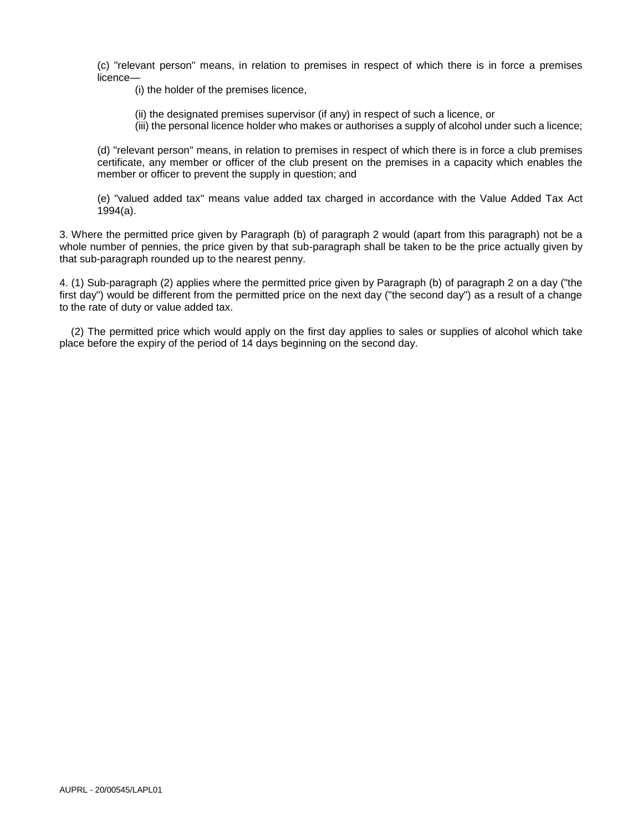(c) "relevant person" means, in relation to premises in respect of which there is in force a premises licence—

(i) the holder of the premises licence,

- (ii) the designated premises supervisor (if any) in respect of such a licence, or
- (iii) the personal licence holder who makes or authorises a supply of alcohol under such a licence;

(d) "relevant person" means, in relation to premises in respect of which there is in force a club premises certificate, any member or officer of the club present on the premises in a capacity which enables the member or officer to prevent the supply in question; and

(e) "valued added tax" means value added tax charged in accordance with the Value Added Tax Act 1994(a).

3. Where the permitted price given by Paragraph (b) of paragraph 2 would (apart from this paragraph) not be a whole number of pennies, the price given by that sub-paragraph shall be taken to be the price actually given by that sub-paragraph rounded up to the nearest penny.

4. (1) Sub-paragraph (2) applies where the permitted price given by Paragraph (b) of paragraph 2 on a day ("the first day") would be different from the permitted price on the next day ("the second day") as a result of a change to the rate of duty or value added tax.

 (2) The permitted price which would apply on the first day applies to sales or supplies of alcohol which take place before the expiry of the period of 14 days beginning on the second day.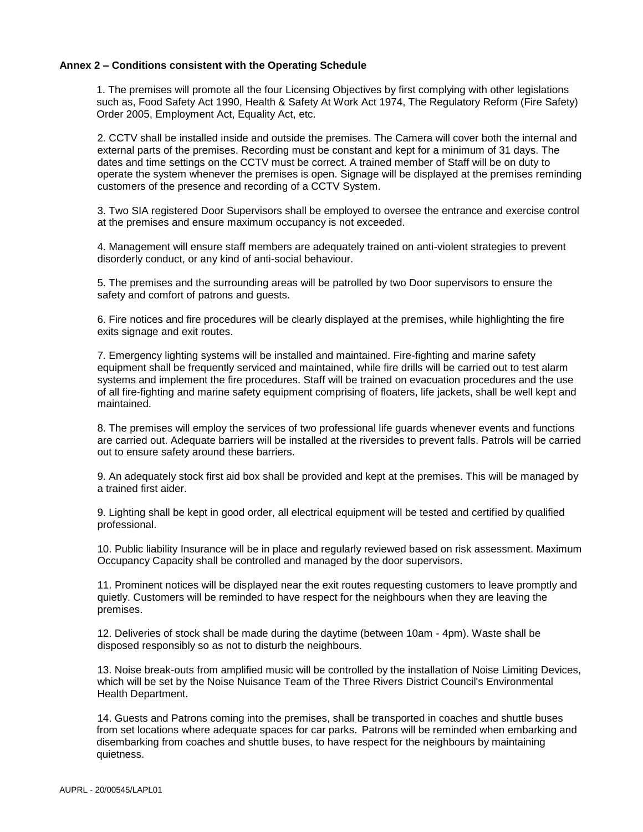#### **Annex 2 – Conditions consistent with the Operating Schedule**

1. The premises will promote all the four Licensing Objectives by first complying with other legislations such as, Food Safety Act 1990, Health & Safety At Work Act 1974, The Regulatory Reform (Fire Safety) Order 2005, Employment Act, Equality Act, etc.

2. CCTV shall be installed inside and outside the premises. The Camera will cover both the internal and external parts of the premises. Recording must be constant and kept for a minimum of 31 days. The dates and time settings on the CCTV must be correct. A trained member of Staff will be on duty to operate the system whenever the premises is open. Signage will be displayed at the premises reminding customers of the presence and recording of a CCTV System.

3. Two SIA registered Door Supervisors shall be employed to oversee the entrance and exercise control at the premises and ensure maximum occupancy is not exceeded.

4. Management will ensure staff members are adequately trained on anti-violent strategies to prevent disorderly conduct, or any kind of anti-social behaviour.

5. The premises and the surrounding areas will be patrolled by two Door supervisors to ensure the safety and comfort of patrons and guests.

6. Fire notices and fire procedures will be clearly displayed at the premises, while highlighting the fire exits signage and exit routes.

7. Emergency lighting systems will be installed and maintained. Fire-fighting and marine safety equipment shall be frequently serviced and maintained, while fire drills will be carried out to test alarm systems and implement the fire procedures. Staff will be trained on evacuation procedures and the use of all fire-fighting and marine safety equipment comprising of floaters, life jackets, shall be well kept and maintained.

8. The premises will employ the services of two professional life guards whenever events and functions are carried out. Adequate barriers will be installed at the riversides to prevent falls. Patrols will be carried out to ensure safety around these barriers.

9. An adequately stock first aid box shall be provided and kept at the premises. This will be managed by a trained first aider.

9. Lighting shall be kept in good order, all electrical equipment will be tested and certified by qualified professional.

10. Public liability Insurance will be in place and regularly reviewed based on risk assessment. Maximum Occupancy Capacity shall be controlled and managed by the door supervisors.

11. Prominent notices will be displayed near the exit routes requesting customers to leave promptly and quietly. Customers will be reminded to have respect for the neighbours when they are leaving the premises.

12. Deliveries of stock shall be made during the daytime (between 10am - 4pm). Waste shall be disposed responsibly so as not to disturb the neighbours.

13. Noise break-outs from amplified music will be controlled by the installation of Noise Limiting Devices, which will be set by the Noise Nuisance Team of the Three Rivers District Council's Environmental Health Department.

14. Guests and Patrons coming into the premises, shall be transported in coaches and shuttle buses from set locations where adequate spaces for car parks. Patrons will be reminded when embarking and disembarking from coaches and shuttle buses, to have respect for the neighbours by maintaining quietness.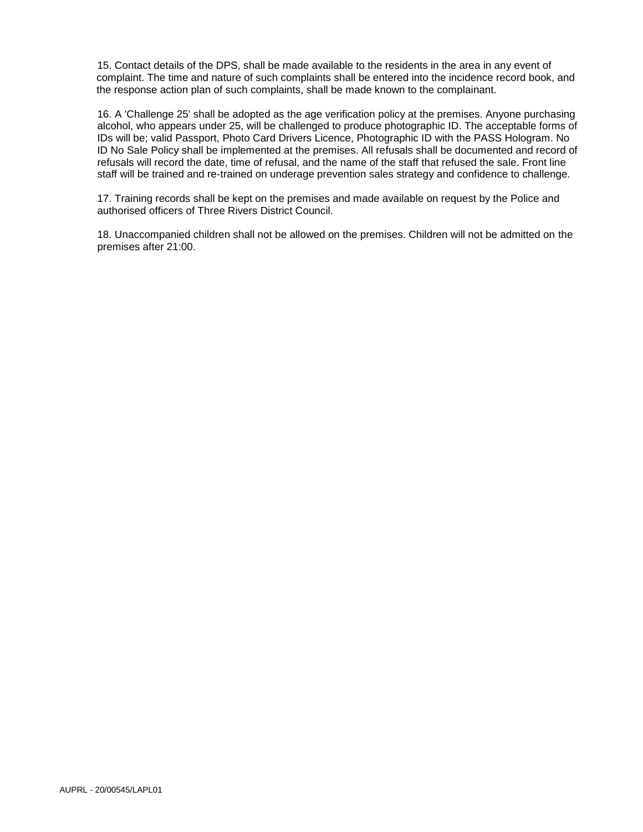15. Contact details of the DPS, shall be made available to the residents in the area in any event of complaint. The time and nature of such complaints shall be entered into the incidence record book, and the response action plan of such complaints, shall be made known to the complainant.

16. A 'Challenge 25' shall be adopted as the age verification policy at the premises. Anyone purchasing alcohol, who appears under 25, will be challenged to produce photographic ID. The acceptable forms of IDs will be; valid Passport, Photo Card Drivers Licence, Photographic ID with the PASS Hologram. No ID No Sale Policy shall be implemented at the premises. All refusals shall be documented and record of refusals will record the date, time of refusal, and the name of the staff that refused the sale. Front line staff will be trained and re-trained on underage prevention sales strategy and confidence to challenge.

17. Training records shall be kept on the premises and made available on request by the Police and authorised officers of Three Rivers District Council.

18. Unaccompanied children shall not be allowed on the premises. Children will not be admitted on the premises after 21:00.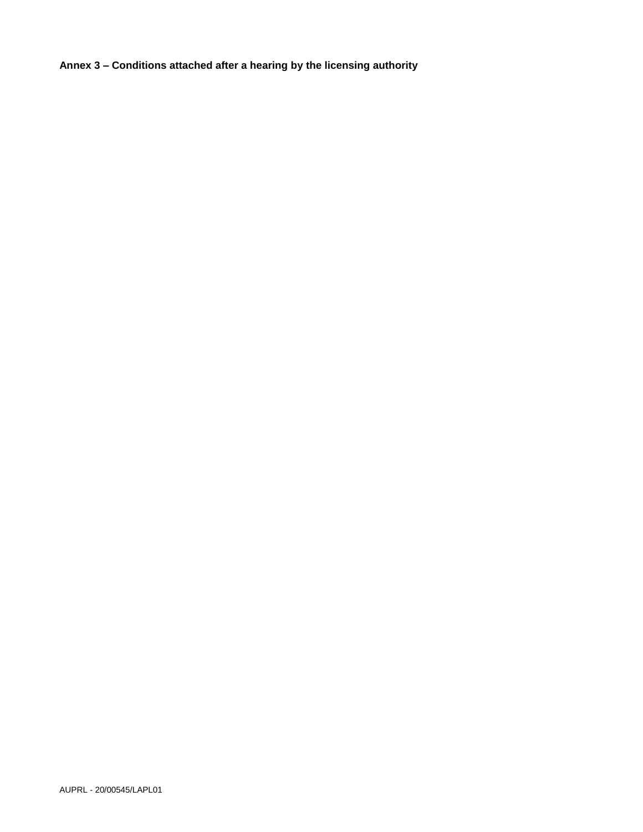**Annex 3 – Conditions attached after a hearing by the licensing authority**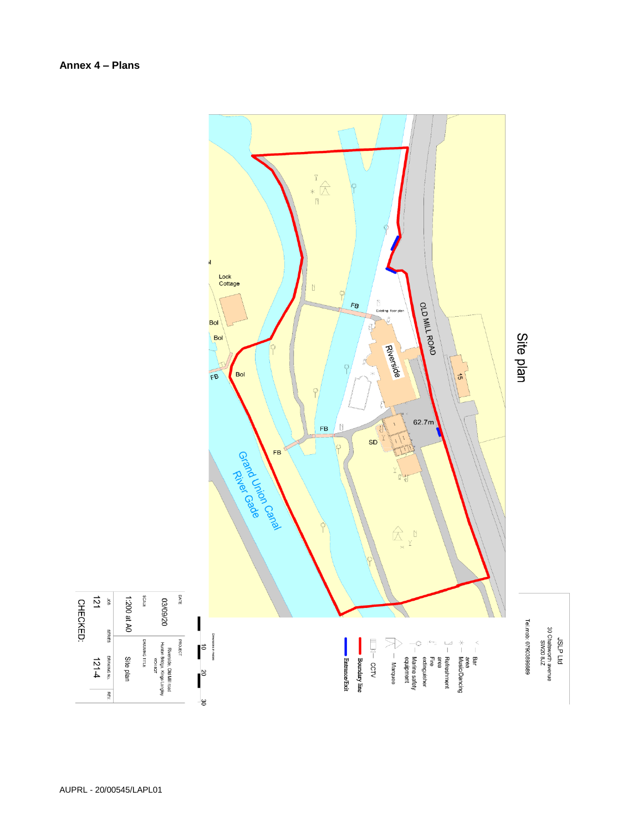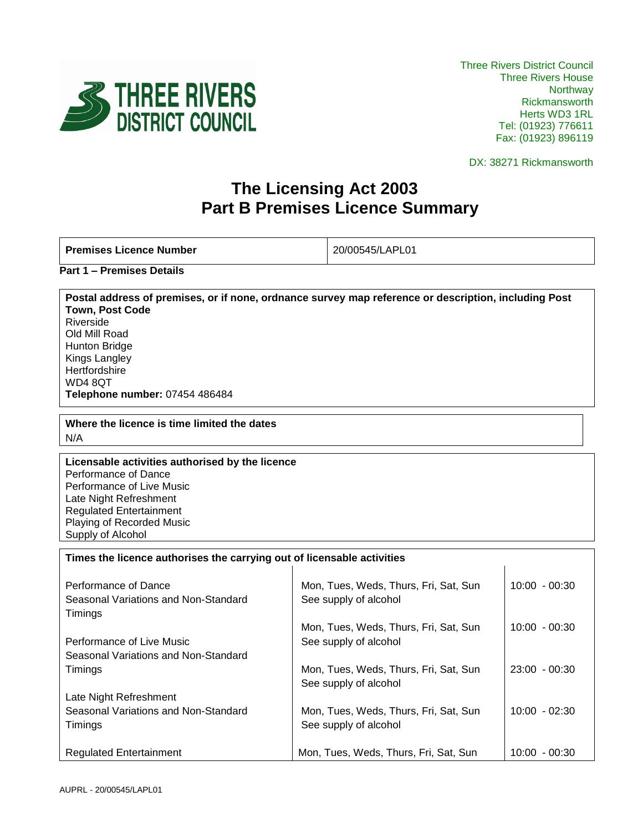

DX: 38271 Rickmansworth

 $\mathbf{I}$ 

# **The Licensing Act 2003 Part B Premises Licence Summary**

**Premises Licence Number** 20/00545/LAPL01

**Part 1 – Premises Details**

**Postal address of premises, or if none, ordnance survey map reference or description, including Post Town, Post Code** Riverside Old Mill Road Hunton Bridge Kings Langley **Hertfordshire** WD4 8QT **Telephone number:** 07454 486484

**Where the licence is time limited the dates** N/A

**Licensable activities authorised by the licence**  Performance of Dance Performance of Live Music Late Night Refreshment Regulated Entertainment Playing of Recorded Music Supply of Alcohol

**Times the licence authorises the carrying out of licensable activities** 

| Performance of Dance<br>Seasonal Variations and Non-Standard<br>Timings | Mon, Tues, Weds, Thurs, Fri, Sat, Sun<br>See supply of alcohol | $10:00 - 00:30$ |
|-------------------------------------------------------------------------|----------------------------------------------------------------|-----------------|
|                                                                         | Mon, Tues, Weds, Thurs, Fri, Sat, Sun                          | $10:00 - 00:30$ |
| Performance of Live Music                                               | See supply of alcohol                                          |                 |
| Seasonal Variations and Non-Standard                                    |                                                                |                 |
| Timings                                                                 | Mon, Tues, Weds, Thurs, Fri, Sat, Sun                          | $23:00 - 00:30$ |
|                                                                         | See supply of alcohol                                          |                 |
| Late Night Refreshment                                                  |                                                                |                 |
| Seasonal Variations and Non-Standard                                    | Mon, Tues, Weds, Thurs, Fri, Sat, Sun                          | $10:00 - 02:30$ |
| Timings                                                                 | See supply of alcohol                                          |                 |
|                                                                         |                                                                |                 |
| <b>Regulated Entertainment</b>                                          | Mon, Tues, Weds, Thurs, Fri, Sat, Sun                          | $10:00 - 00:30$ |

 $\blacksquare$